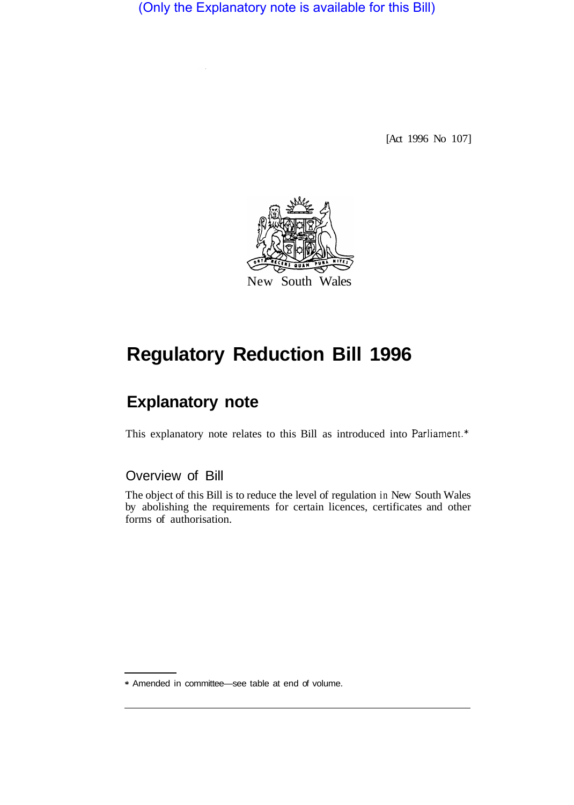(Only the Explanatory note is available for this Bill)

[Act 1996 No 107]



## **Regulatory Reduction Bill 1996**

## **Explanatory note**

This explanatory note relates to this Bill as introduced into Parliament.\*

Overview of Bill

The object of this Bill is to reduce the level of regulation in New South Wales by abolishing the requirements for certain licences, certificates and other forms of authorisation.

<sup>\*</sup> Amended in committee—see table at end of volume.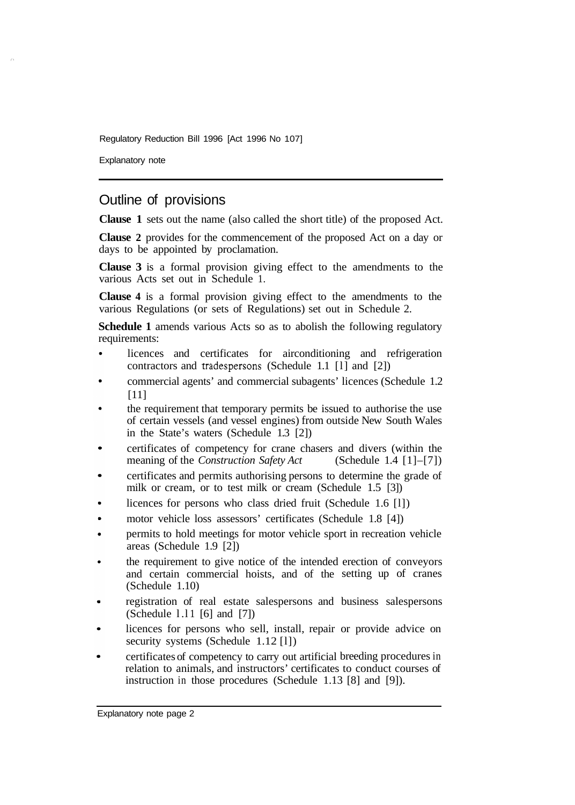Regulatory Reduction Bill 1996 [Act 1996 No 107]

Explanatory note

## Outline of provisions

**Clause 1** sets out the name (also called the short title) of the proposed Act.

**Clause 2** provides for the commencement of the proposed Act on a day or days to be appointed by proclamation.

**Clause 3** is a formal provision giving effect to the amendments to the various Acts set out in Schedule 1.

**Clause 4** is a formal provision giving effect to the amendments to the various Regulations (or sets of Regulations) set out in Schedule 2.

**Schedule 1** amends various Acts so as to abolish the following regulatory requirements:

- licences and certificates for airconditioning and refrigeration contractors and tradespersons (Schedule 1.1 [l] and [2])
- commercial agents' and commercial subagents' licences (Schedule 1.2 [11]
- the requirement that temporary permits be issued to authorise the use of certain vessels (and vessel engines) from outside New South Wales in the State's waters (Schedule 1.3 [2])
- certificates of competency for crane chasers and divers (within the meaning of the *Construction Safety Act* (Schedule 1.4 [1]–[7]) meaning of the *Construction Safety Act*
- certificates and permits authorising persons to determine the grade of milk or cream, or to test milk or cream (Schedule 1.5 [3])
- licences for persons who class dried fruit (Schedule 1.6 [l])
- motor vehicle loss assessors' certificates (Schedule 1.8 [4])
- permits to hold meetings for motor vehicle sport in recreation vehicle areas (Schedule 1.9 [2])
- the requirement to give notice of the intended erection of conveyors and certain commercial hoists, and of the setting up of cranes (Schedule 1.10)
- registration of real estate salespersons and business salespersons (Schedule l .l 1 [6] and [7])
- licences for persons who sell, install, repair or provide advice on security systems (Schedule 1.12 [1])
- certificates of competency to carry out artificial breeding procedures in relation to animals, and instructors' certificates to conduct courses of instruction in those procedures (Schedule 1.13 [8] and [9]).

Explanatory note page 2